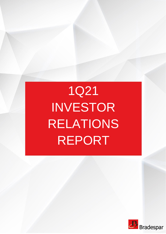# 1Q21 INVESTOR RELATIONS REPORT

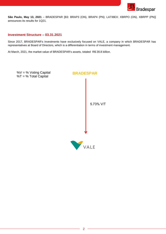

**São Paulo, May 13, 2021** – BRADESPAR [B3: BRAP3 (ON), BRAP4 (PN); LATIBEX: XBRPO (ON), XBRPP (PN)] announces its results for 1Q21.

## **Investment Structure – 03.31.2021**

Since 2017, BRADESPAR's investments have exclusively focused on VALE, a company in which BRADESPAR has representatives at Board of Directors, which is a differentiation in terms of investment management.

At March, 2021, the market value of BRADESPAR's assets, totaled R\$ 28.8 billion.

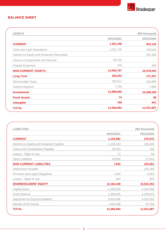

# **BALANCE SHEET**

| <b>ASSETS</b>                               |            | (R\$ thousand) |
|---------------------------------------------|------------|----------------|
|                                             | 03/31/2021 | 03/31/2020     |
| <b>CURRENT</b>                              | 1,301,206  | 553,142        |
| Cash and Cash Equivalents                   | 1,241,718  | 199,618        |
| Interest on Equity and Dividends Receivable |            | 353,338        |
| Taxes to Compensate and Recover             | 59,110     |                |
| <b>Prepaid Expenses</b>                     | 378        | 186            |
| <b>NON-CURRENT ASSETS</b>                   | 12,065,787 | 10,478,545     |
| <b>Long Term</b>                            | 168,253    | 171,247        |
| Recoverable Taxes                           | 160,514    | 163,389        |
| <b>Judicial Deposits</b>                    | 7,739      | 7,858          |
| <b>Investments</b>                          | 11,896,665 | 10,306,259     |
| <b>Fixed Assets</b>                         | 74         | 98             |
| <b>Intangible</b>                           | 795        | 941            |
| <b>TOTAL</b>                                | 13,366,993 | 11,031,687     |
|                                             |            |                |

| <b>LIABILITIES</b>                       |            | (R\$ thousand) |
|------------------------------------------|------------|----------------|
|                                          | 03/31/2021 | 03/31/2020     |
| <b>CURRENT</b>                           | 1,194,992  | 276,072        |
| Interest on Equity and Dividends Payable | 1,139,763  | 248,000        |
| <b>Taxes and Contributions Payable</b>   | 26,253     | 194            |
| Leases - Right of Use                    | 72         | 68             |
| <b>Other Liabilities</b>                 | 28,904     | 27,810         |
| <b>NON-CURRENT LIABILITIES</b>           | 7.842      | 233,261        |
| Debentures Payable                       |            | 225,395        |
| Provision and Legal Obligations          | 7,040      | 6,943          |
| Leases - Right of Use                    | 802        | 923            |
| <b>SHAREHOLDERS' EQUITY</b>              | 12,164,159 | 10,522,354     |
| <b>Capital Stock</b>                     | 4,100,000  | 4,100,000      |
| <b>Profit Reserve</b>                    | 1,983,625  | 2,106,573      |
| Adjustment to Equity Evaluation          | 4,624,596  | 4,262,025      |
| <b>Results of the Period</b>             | 1,455,938  | 53,756         |
| <b>TOTAL</b>                             | 13,366,993 | 11,031,687     |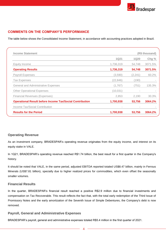

# **COMMENTS ON THE COMPANY'S PERFORMANCE**

The table below shows the Consolidated Income Statement, in accordance with accounting practices adopted in Brazil.

| Income Tax/Social Contribution                                  | $\overline{\phantom{a}}$ |                |         |  |
|-----------------------------------------------------------------|--------------------------|----------------|---------|--|
| <b>Operational Result before Income Tax/Social Contribution</b> | 1,700,938                | 53,756         | 3064.2% |  |
| <b>Financial Revenues (Expenses)</b>                            | 2,853                    | 2,190          | 30.3%   |  |
| <b>Other Operational Expenses</b>                               | (10,031)                 | $\sim$         |         |  |
| <b>General and Administrative Expenses</b>                      | (1,767)                  | (751)          | 135.3%  |  |
| <b>Tax Expenses</b>                                             | (22,846)                 | (190)          |         |  |
| <b>Payroll Expenses</b>                                         | (3,590)                  | (2,241)        | 60.2%   |  |
| <b>Operating Results</b>                                        | 1,736,319                | 54,748         | 3071.5% |  |
| Equity Income                                                   | 1,736,319                | 54,748         | 3071.5% |  |
|                                                                 | <b>1Q21</b>              | <b>1Q20</b>    | Chg%    |  |
| <b>Income Statement</b>                                         |                          | (R\$ thousand) |         |  |

## **Operating Revenue**

As an investment company, BRADESPAR's operating revenue originates from the equity income, and interest on its equity stake in VALE.

In 1Q21, BRADESPAR's operating revenue reached R\$1.74 billion, the best result for a first quarter in the Company's history.

It should be noted that VALE, in the same period, adjusted EBITDA reported totaled US\$8.47 billion, mainly in Ferrous Minerals (US\$7.81 billion), specially due to higher realized prices for commodities, which even offset the seasonally smaller volumes.

#### **Financial Results**

In the quarter, BRADESPAR's financial result reached a positive R\$2.9 million due to financial investments and compensation on Tax Recoverable. This result reflects the fact that, with the total early redemption of the Third Issue of Promissory Notes and the early amortization of the Seventh Issue of Simple Debentures, the Company's debt is now removed.

#### **Payroll, General and Administrative Expenses**

BRADESPAR's payroll, general and administrative expenses totaled R\$5.4 million in the first quarter of 2021.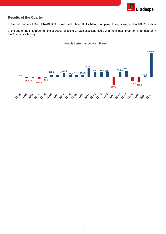

## **Results of the Quarter**

In the first quarter of 2021, BRADESPAR's net profit totaled R\$1.7 billion, compared to a positive result of R\$53.8 million

at the end of the first three months of 2020, reflecting VALE's excellent result, with the highest profit for a first quarter in the Company's history.



#### **Result Performance (R\$ million)**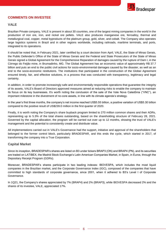

## **COMMENTS ON INVESTEE**

#### **VALE**

Brazilian Private company, VALE is present in about 30 countries, one of the largest mining companies in the world in the production of iron ore, iron, and nickel ore pellets. VALE also produces manganese ore, ferroalloy, thermal and metallurgical coal, copper, metal byproducts of the platinum group, gold, silver, and cobalt. The Company also operates large logistics systems in Brazil and in other regions worldwide, including railroads, maritime terminals, and ports, integrated to its operations.

It should be noted that, in February 2021, later certified by a court decision from April, VALE, the State of Minas Gerais, the Public Defender's Office of the State of Minas Gerais and the Federal and State Prosecutors of the State of Minas Gerais signed a Global Agreement for the Comprehensive Reparation of damages caused by the rupture of Dam I, in the Córrego do Feijão mine, in Brumadinho, MG. The Global Agreement has an economic value of approximately R\$ 37.7 billion and puts an end to the public civil actions for socio-environmental damages caused by the disaster, as well as an end to the socio-economic restitutions. The institutions that participated in the construction of the Global Agreement ensured timely, fair, and effective solutions, in a process that was conducted with transparency, legitimacy and legal certainty.

In addition, in order to promote increasingly safe and environmentally responsible operations that guarantee the integrity of its assets, VALE's Board of Directors approved measures aimed at reducing risks to enable the company to maintain its focus on its key businesses. It's worth noting the conclusion of the sale of the Vale Nova Caledônia ("VNC"), an important milestone in the divestment of no-core assets, in line with its climate agenda's strategy.

In the year's first three months, the company's net income reached US\$5.55 billion, a positive variation of US\$5.30 billion compared to the positive result of US\$239.0 million in the first quarter of 2020.

Finally, it is worth noting the Company's share buyback program limited to 270 million common shares and their ADRs, representing up to 5.3% of the total shares outstanding, based on the shareholding structure of February 28, 2021. Governed by the capital allocation, the program will be carried out over up to 12 months, showing the trust of VALE's management and the potential to consistently create and distribute value.

All implementations carried out in VALE's Governance had the support, initiative and approval of the shareholders that belonged to the former control block, particularly BRADESPAR, and this ends the cycle, which started in 2017, of transforming the company into a True Corporation.

#### **Capital Market**

Since its inception, BRADESPAR's shares are listed on B3 under tickers BRAP3 (ON) and BRAP4 (PN), and its securities are traded on LATIBEX, the Madrid Stock Exchange's Latin American Companies Market, in Spain, in Euros, through the Depositary Receipt Program (GDRs).

Moreover, BRADESPAR's shares participate in two leading indexes: IBOVESPA, which includes the most liquid companies in the Brazilian market, and the Corporate Governance Index (IGC), composed of the companies that have committed to high standards of corporate governance, since 2001, when it adhered to B3's Level I of Corporate Governance.

In 1Q21, the Company's shares appreciated by 7% (BRAP4) and 2% (BRAP3), while IBOVESPA decreased 2% and the shares of its investee, VALE, appreciated 17%.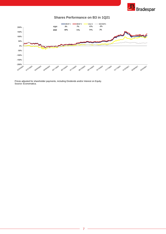

**Shares Performance on B3 in 1Q21**



Prices adjusted for shareholder payments, including Dividends and/or Interest on Equity. Source: Economatica.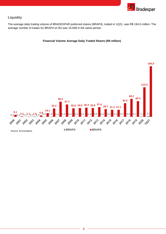

# **Liquidity**

The average daily trading volume of BRADESPAR preferred shares (BRAP4), traded in 1Q21, was R\$ 194.0 million. The average number of trades for BRAP4 on B3 was 16,589 in the same period.

#### **Financial Volume Average Daily Traded Shares (R\$ million)**

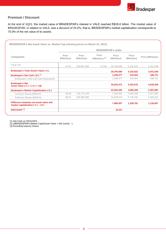

## **Premium / Discount**

At the end of 1Q21, the market value of BRADESPAR's interest in VALE reached R\$28.8 billion. The market value of BRADESPAR, in relation to VALE, was a discount of 25.0%, that is, BRADESPAR's market capitalization corresponds to 75.0% of the net value of its assets.

| <b>Companies</b>                                                            | <b>BRADESPAR's stake</b> |                      |                                      |                      |                      |                   |
|-----------------------------------------------------------------------------|--------------------------|----------------------|--------------------------------------|----------------------|----------------------|-------------------|
|                                                                             | Price<br>(R\$/share)     | Price<br>(R\$/share) | Price<br>$(R$/share)$ <sup>(3)</sup> | Price<br>(R\$/share) | Price<br>(R\$/share) | Price (R\$/share) |
| <b>VALE ON</b>                                                              | 97.97                    | 293,907,266          | 5.73%                                | 28.794.095           | 5,102,622            | 4,341,548         |
| <b>Bradespar's Total Assets Value (A)</b>                                   |                          |                      |                                      | 28,794,095           | 5,102,622            | 4,341,548         |
| Bradespar's Net Cash (B) <sup>(1)</sup>                                     |                          |                      |                                      | 1,238,377            | 219,454              | 186,721           |
| Bradespar's Cash and Cash Equivalents                                       |                          |                      |                                      | 1,238,377            | 219,454              | 186,721           |
| <b>Bradespar's Net</b><br>Asset Value ( C ) = $(A) + (B)$                   |                          |                      |                                      | 30,032,472           | 5,322,076            | 4,528,269         |
| <b>Bradespar's Market Capitalization (D)</b>                                |                          |                      |                                      | 22,534,165           | 3,993,295            | 3,397,682         |
| Common Shares (BRAP3)                                                       | 58.16                    | 122, 171, 449        |                                      | 7,105,491            | 1.259.169            | 1,071,360         |
| Preferred Shares (BRAP4)                                                    | 68.31                    | 225,862,596          |                                      | 15,428,674           | 2,734,126            | 2,326,322         |
| Difference between net asset value and<br>market capitalization $(C) - (D)$ |                          |                      |                                      | 7,498,307            | 1,328,781            | 1,130,587         |
| <b>DISCOUNT (2)</b>                                                         |                          |                      |                                      | 25.0%                |                      |                   |

(1) Net Cash on 03/31/2021

(2) ((BRADESPAR's Market Cap)/(Asset Value + Net Cash)) - 1

(3) Excluding treasury shares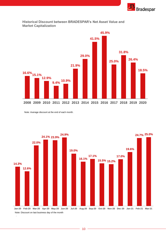



**Historical Discount between BRADESPAR's Net Asset Value and Market Capitalization**

Note: Average discount at the end of each month.

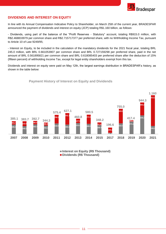

## **DIVIDENDS AND INTEREST ON EQUITY**

In line with its Annual Compensation Indicative Policy to Shareholder, on March 25th of the current year, BRADESPAR announced the payment of dividends and interest on equity (JCP) totaling R\$1.160 billion, as follows:

- Dividends, using part of the balance of the "Profit Reserves - Statutory" account, totaling R\$915.0 million, with R\$2.468833979 per common share and R\$2.715717377 per preferred share, with no Withholding Income Tax, pursuant to Article 10 of Law 9249/95;

- Interest on Equity, to be included in the calculation of the mandatory dividends for the 2021 fiscal year, totaling BRL 245.0 million, with BRL 0.661053907 per common share and BRL 0.727159298 per preferred share, paid in the net amount of BRL 0.561895821 per common share and BRL 0.618085403 per preferred share after the deduction of 15% (fifteen percent) of withholding Income Tax, except for legal entity shareholders exempt from this tax.

Dividends and interest on equity were paid on May 12th, the largest earnings distribution in BRADESPAR's history, as shown in the table below:

**Payment History of Interest on Equity and Dividends**



**Interest on Equity (R\$ Thousand) Dividends (R\$ Thousand)**